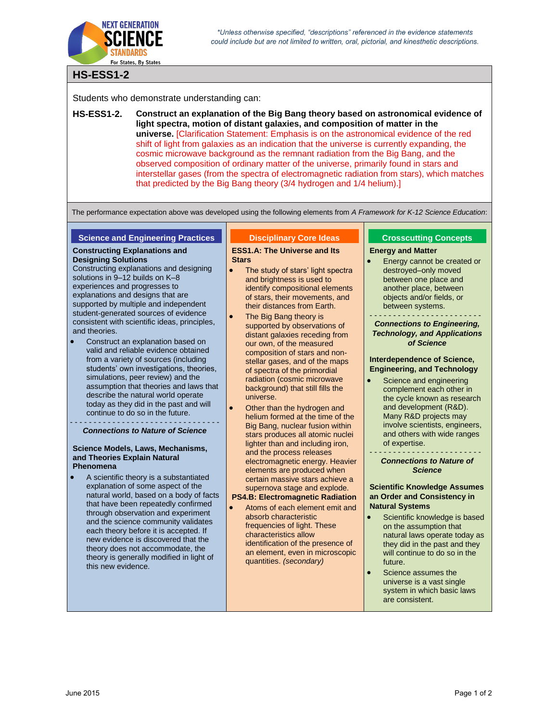

# **HS-ESS1-2**

Students who demonstrate understanding can:

**HS-ESS1-2. Construct an explanation of the Big Bang theory based on astronomical evidence of light spectra, motion of distant galaxies, and composition of matter in the universe.** [Clarification Statement: Emphasis is on the astronomical evidence of the red shift of light from galaxies as an indication that the universe is currently expanding, the cosmic microwave background as the remnant radiation from the Big Bang, and the observed composition of ordinary matter of the universe, primarily found in stars and interstellar gases (from the spectra of electromagnetic radiation from stars), which matches that predicted by the Big Bang theory (3/4 hydrogen and 1/4 helium).]

The performance expectation above was developed using the following elements from *A Framework for K-12 Science Education*:

#### **Science and Engineering Practices**

#### **Constructing Explanations and Designing Solutions**

Constructing explanations and designing solutions in 9–12 builds on K–8 experiences and progresses to explanations and designs that are supported by multiple and independent student-generated sources of evidence consistent with scientific ideas, principles, and theories.

 Construct an explanation based on valid and reliable evidence obtained from a variety of sources (including students' own investigations, theories, simulations, peer review) and the assumption that theories and laws that describe the natural world operate today as they did in the past and will continue to do so in the future.

#### - - - - - - - - - - - - - - - - - - - - - - - - - - - - - - - - *Connections to Nature of Science*

#### **Science Models, Laws, Mechanisms, and Theories Explain Natural Phenomena**

 A scientific theory is a substantiated explanation of some aspect of the natural world, based on a body of facts that have been repeatedly confirmed through observation and experiment and the science community validates each theory before it is accepted. If new evidence is discovered that the theory does not accommodate, the theory is generally modified in light of this new evidence.

# **Disciplinary Core Ideas**

### **ESS1.A: The Universe and Its Stars**

- The study of stars' light spectra and brightness is used to identify compositional elements of stars, their movements, and their distances from Earth.
- The Big Bang theory is supported by observations of distant galaxies receding from our own, of the measured composition of stars and nonstellar gases, and of the maps of spectra of the primordial radiation (cosmic microwave background) that still fills the universe.
- Other than the hydrogen and helium formed at the time of the Big Bang, nuclear fusion within stars produces all atomic nuclei lighter than and including iron, and the process releases electromagnetic energy. Heavier elements are produced when certain massive stars achieve a supernova stage and explode. **PS4.B: Electromagnetic Radiation**
- Atoms of each element emit and
- absorb characteristic frequencies of light. These characteristics allow identification of the presence of an element, even in microscopic quantities. *(secondary)*

# **Crosscutting Concepts**

### **Energy and Matter**

- Energy cannot be created or destroyed–only moved between one place and another place, between objects and/or fields, or between systems.
- - - - - - - - - - - - - *Connections to Engineering, Technology, and Applications of Science*

## **Interdependence of Science, Engineering, and Technology**

 Science and engineering complement each other in the cycle known as research and development (R&D). Many R&D projects may involve scientists, engineers, and others with wide ranges of expertise.

#### - - - - - - - - - - - - - - - - - - - - - - - - *Connections to Nature of Science*

# **Scientific Knowledge Assumes an Order and Consistency in Natural Systems**

- Scientific knowledge is based on the assumption that natural laws operate today as they did in the past and they will continue to do so in the future.
- **Science assumes the** universe is a vast single system in which basic laws are consistent.